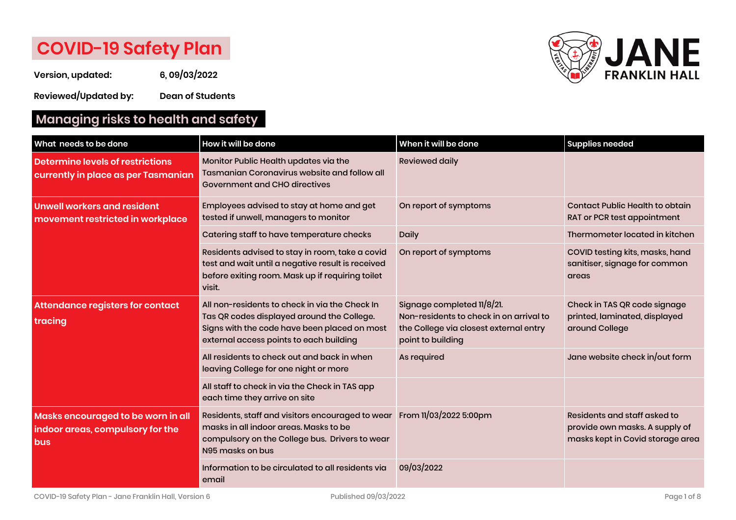# **COVID-19 Safety Plan**

**Version, updated: 6, 09/03/2022**

**Reviewed/Updated by: Dean of Students**

# **Managing risks to health and safety**



| What needs to be done                                                                | How it will be done                                                                                                                                                                     | When it will be done                                                                                                                 | <b>Supplies needed</b>                                                                             |
|--------------------------------------------------------------------------------------|-----------------------------------------------------------------------------------------------------------------------------------------------------------------------------------------|--------------------------------------------------------------------------------------------------------------------------------------|----------------------------------------------------------------------------------------------------|
| Determine levels of restrictions<br>currently in place as per Tasmanian              | Monitor Public Health updates via the<br><b>Tasmanian Coronavirus website and follow all</b><br><b>Government and CHO directives</b>                                                    | <b>Reviewed daily</b>                                                                                                                |                                                                                                    |
| <b>Unwell workers and resident</b><br>movement restricted in workplace               | Employees advised to stay at home and get<br>tested if unwell, managers to monitor                                                                                                      | On report of symptoms                                                                                                                | <b>Contact Public Health to obtain</b><br>RAT or PCR test appointment                              |
|                                                                                      | Catering staff to have temperature checks                                                                                                                                               | <b>Daily</b>                                                                                                                         | Thermometer located in kitchen                                                                     |
|                                                                                      | Residents advised to stay in room, take a covid<br>test and wait until a negative result is received<br>before exiting room. Mask up if requiring toilet<br>visit.                      | On report of symptoms                                                                                                                | COVID testing kits, masks, hand<br>sanitiser, signage for common<br>areas                          |
| Attendance registers for contact<br>tracing                                          | All non-residents to check in via the Check In<br>Tas QR codes displayed around the College.<br>Signs with the code have been placed on most<br>external access points to each building | Signage completed 11/8/21.<br>Non-residents to check in on arrival to<br>the College via closest external entry<br>point to building | Check in TAS QR code signage<br>printed, laminated, displayed<br>around College                    |
|                                                                                      | All residents to check out and back in when<br>leaving College for one night or more                                                                                                    | As required                                                                                                                          | Jane website check in/out form                                                                     |
|                                                                                      | All staff to check in via the Check in TAS app<br>each time they arrive on site                                                                                                         |                                                                                                                                      |                                                                                                    |
| Masks encouraged to be worn in all<br>indoor areas, compulsory for the<br><b>bus</b> | Residents, staff and visitors encouraged to wear<br>masks in all indoor areas. Masks to be<br>compulsory on the College bus. Drivers to wear<br>N95 masks on bus                        | From 11/03/2022 5:00pm                                                                                                               | Residents and staff asked to<br>provide own masks. A supply of<br>masks kept in Covid storage area |
|                                                                                      | Information to be circulated to all residents via<br>email                                                                                                                              | 09/03/2022                                                                                                                           |                                                                                                    |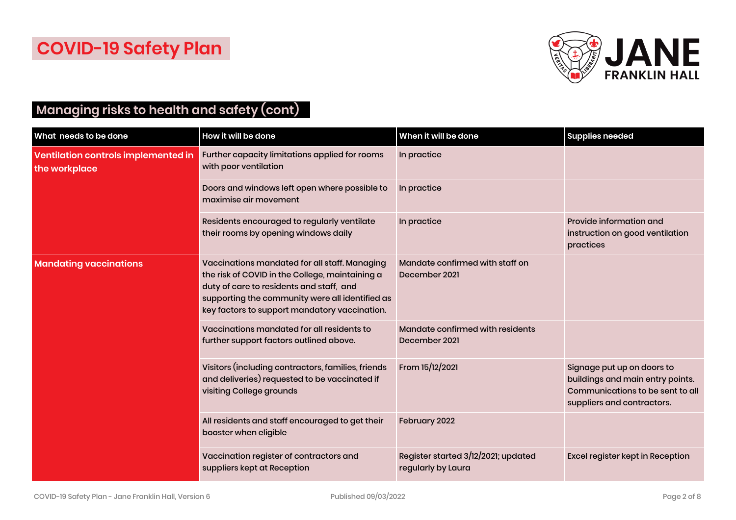

## **Managing risks to health and safety (cont)**

| What needs to be done                                | How it will be done                                                                                                                                                                                                                              | When it will be done                                      | <b>Supplies needed</b>                                                                                                           |
|------------------------------------------------------|--------------------------------------------------------------------------------------------------------------------------------------------------------------------------------------------------------------------------------------------------|-----------------------------------------------------------|----------------------------------------------------------------------------------------------------------------------------------|
| Ventilation controls implemented in<br>the workplace | Further capacity limitations applied for rooms<br>with poor ventilation                                                                                                                                                                          | In practice                                               |                                                                                                                                  |
|                                                      | Doors and windows left open where possible to<br>maximise air movement                                                                                                                                                                           | In practice                                               |                                                                                                                                  |
|                                                      | Residents encouraged to regularly ventilate<br>their rooms by opening windows daily                                                                                                                                                              | In practice                                               | Provide information and<br>instruction on good ventilation<br>practices                                                          |
| <b>Mandating vaccinations</b>                        | Vaccinations mandated for all staff. Managing<br>the risk of COVID in the College, maintaining a<br>duty of care to residents and staff, and<br>supporting the community were all identified as<br>key factors to support mandatory vaccination. | Mandate confirmed with staff on<br>December 2021          |                                                                                                                                  |
|                                                      | Vaccinations mandated for all residents to<br>further support factors outlined above.                                                                                                                                                            | Mandate confirmed with residents<br>December 2021         |                                                                                                                                  |
|                                                      | Visitors (including contractors, families, friends<br>and deliveries) requested to be vaccinated if<br>visiting College grounds                                                                                                                  | From 15/12/2021                                           | Signage put up on doors to<br>buildings and main entry points.<br>Communications to be sent to all<br>suppliers and contractors. |
|                                                      | All residents and staff encouraged to get their<br>booster when eligible                                                                                                                                                                         | February 2022                                             |                                                                                                                                  |
|                                                      | Vaccination register of contractors and<br>suppliers kept at Reception                                                                                                                                                                           | Register started 3/12/2021; updated<br>regularly by Laura | Excel register kept in Reception                                                                                                 |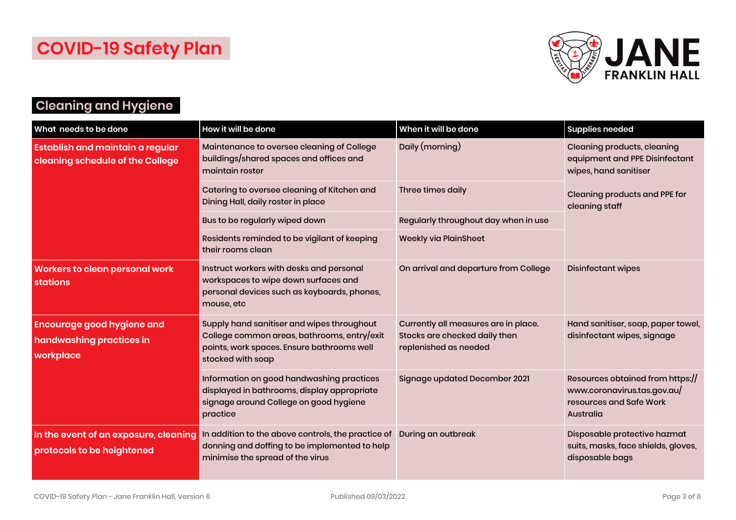

# **Cleaning and Hygiene**

| What needs to be done                                                       | How it will be done                                                                                                                                          | When it will be done                                                                           | <b>Supplies needed</b>                                                                                  |
|-----------------------------------------------------------------------------|--------------------------------------------------------------------------------------------------------------------------------------------------------------|------------------------------------------------------------------------------------------------|---------------------------------------------------------------------------------------------------------|
| <b>Establish and maintain a regular</b><br>cleaning schedule of the College | Maintenance to oversee cleaning of College<br>buildings/shared spaces and offices and<br>maintain roster                                                     | Daily (morning)                                                                                | <b>Cleaning products, cleaning</b><br>equipment and PPE Disinfectant<br>wipes, hand sanitiser           |
|                                                                             | Catering to oversee cleaning of Kitchen and<br>Dining Hall, daily roster in place                                                                            | Three times daily                                                                              | <b>Cleaning products and PPE for</b><br>cleaning staff                                                  |
|                                                                             | Bus to be regularly wiped down                                                                                                                               | Regularly throughout day when in use                                                           |                                                                                                         |
|                                                                             | Residents reminded to be vigilant of keeping<br>their rooms clean                                                                                            | <b>Weekly via PlainSheet</b>                                                                   |                                                                                                         |
| <b>Workers to clean personal work</b><br><b>stations</b>                    | Instruct workers with desks and personal<br>workspaces to wipe down surfaces and<br>personal devices such as keyboards, phones,<br>mouse, etc                | On arrival and departure from College                                                          | <b>Disinfectant wipes</b>                                                                               |
| <b>Encourage good hygiene and</b><br>handwashing practices in<br>workplace  | Supply hand sanitiser and wipes throughout<br>College common areas, bathrooms, entry/exit<br>points, work spaces. Ensure bathrooms well<br>stocked with soap | Currently all measures are in place.<br>Stocks are checked daily then<br>replenished as needed | Hand sanitiser, soap, paper towel,<br>disinfectant wipes, signage                                       |
|                                                                             | Information on good handwashing practices<br>displayed in bathrooms, display appropriate<br>signage around College on good hygiene<br>practice               | Signage updated December 2021                                                                  | Resources obtained from https://<br>www.coronavirus.tas.gov.au/<br>resources and Safe Work<br>Australia |
| In the event of an exposure, cleaning<br>protocols to be heightened         | In addition to the above controls, the practice of<br>donning and doffing to be implemented to help<br>minimise the spread of the virus                      | During an outbreak                                                                             | Disposable protective hazmat<br>suits, masks, face shields, gloves,<br>disposable bags                  |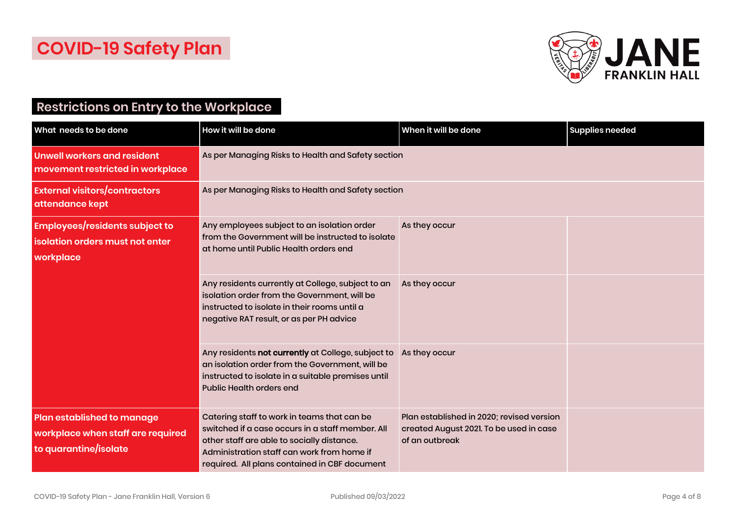

#### **Restrictions on Entry to the Workplace**

| What needs to be done                                                                           | How it will be done                                                                                                                                                                                                                          | When it will be done                                                                                   | <b>Supplies needed</b> |
|-------------------------------------------------------------------------------------------------|----------------------------------------------------------------------------------------------------------------------------------------------------------------------------------------------------------------------------------------------|--------------------------------------------------------------------------------------------------------|------------------------|
| <b>Unwell workers and resident</b><br>movement restricted in workplace                          | As per Managing Risks to Health and Safety section                                                                                                                                                                                           |                                                                                                        |                        |
| <b>External visitors/contractors</b><br>attendance kept                                         | As per Managing Risks to Health and Safety section                                                                                                                                                                                           |                                                                                                        |                        |
| <b>Employees/residents subject to</b><br>isolation orders must not enter<br>workplace           | Any employees subject to an isolation order<br>from the Government will be instructed to isolate<br>at home until Public Health orders end                                                                                                   | As they occur                                                                                          |                        |
|                                                                                                 | Any residents currently at College, subject to an<br>isolation order from the Government, will be<br>instructed to isolate in their rooms until a<br>negative RAT result, or as per PH advice                                                | As they occur                                                                                          |                        |
|                                                                                                 | Any residents not currently at College, subject to<br>an isolation order from the Government, will be<br>instructed to isolate in a suitable premises until<br><b>Public Health orders end</b>                                               | As they occur                                                                                          |                        |
| <b>Plan established to manage</b><br>workplace when staff are required<br>to quarantine/isolate | Catering staff to work in teams that can be<br>switched if a case occurs in a staff member. All<br>other staff are able to socially distance.<br>Administration staff can work from home if<br>required. All plans contained in CBF document | Plan established in 2020; revised version<br>created August 2021. To be used in case<br>of an outbreak |                        |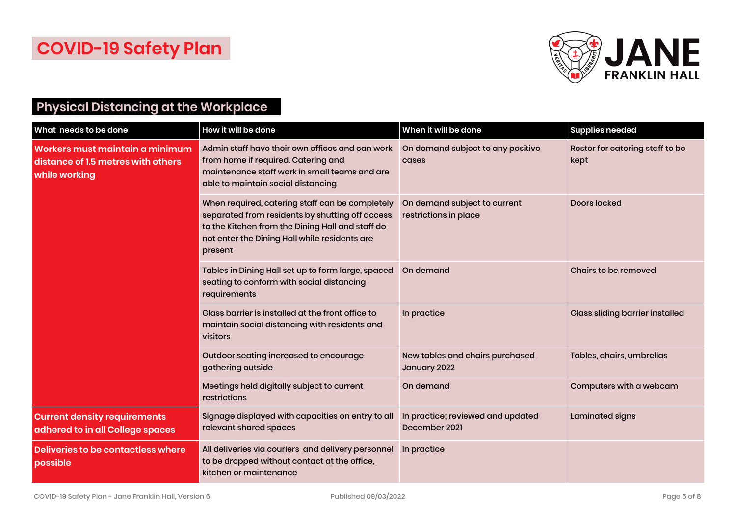

# **Physical Distancing at the Workplace**

| What needs to be done                                                                  | How it will be done                                                                                                                                                                                                | When it will be done                                  | <b>Supplies needed</b>                  |
|----------------------------------------------------------------------------------------|--------------------------------------------------------------------------------------------------------------------------------------------------------------------------------------------------------------------|-------------------------------------------------------|-----------------------------------------|
| Workers must maintain a minimum<br>distance of 1.5 metres with others<br>while working | Admin staff have their own offices and can work<br>from home if required. Catering and<br>maintenance staff work in small teams and are<br>able to maintain social distancing                                      | On demand subject to any positive<br>cases            | Roster for catering staff to be<br>kept |
|                                                                                        | When required, catering staff can be completely<br>separated from residents by shutting off access<br>to the Kitchen from the Dining Hall and staff do<br>not enter the Dining Hall while residents are<br>present | On demand subject to current<br>restrictions in place | Doors locked                            |
|                                                                                        | Tables in Dining Hall set up to form large, spaced<br>seating to conform with social distancing<br>requirements                                                                                                    | On demand                                             | Chairs to be removed                    |
|                                                                                        | Glass barrier is installed at the front office to<br>maintain social distancing with residents and<br>visitors                                                                                                     | In practice                                           | <b>Glass sliding barrier installed</b>  |
|                                                                                        | Outdoor seating increased to encourage<br>gathering outside                                                                                                                                                        | New tables and chairs purchased<br>January 2022       | Tables, chairs, umbrellas               |
|                                                                                        | Meetings held digitally subject to current<br>restrictions                                                                                                                                                         | On demand                                             | Computers with a webcam                 |
| <b>Current density requirements</b><br>adhered to in all College spaces                | Signage displayed with capacities on entry to all<br>relevant shared spaces                                                                                                                                        | In practice; reviewed and updated<br>December 2021    | Laminated signs                         |
| <b>Deliveries to be contactless where</b><br>possible                                  | All deliveries via couriers and delivery personnel<br>to be dropped without contact at the office,<br>kitchen or maintenance                                                                                       | In practice                                           |                                         |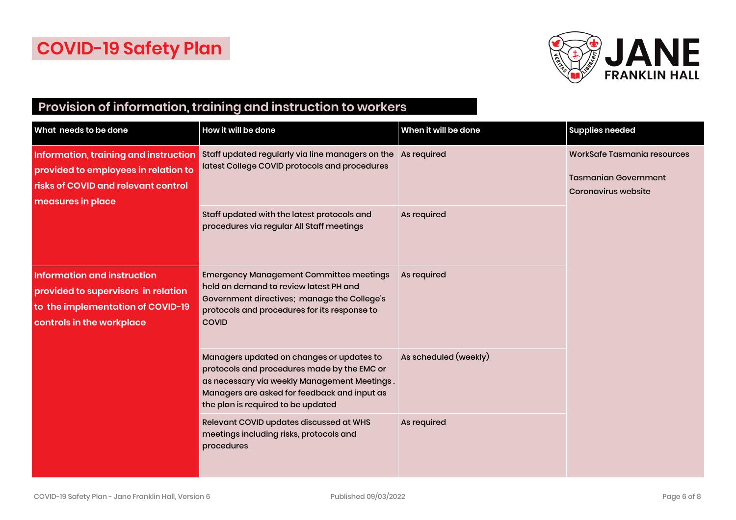

## **Provision of information, training and instruction to workers**

| What needs to be done                                                                                                                       | How it will be done                                                                                                                                                                                                            | When it will be done  | <b>Supplies needed</b>                                                                   |
|---------------------------------------------------------------------------------------------------------------------------------------------|--------------------------------------------------------------------------------------------------------------------------------------------------------------------------------------------------------------------------------|-----------------------|------------------------------------------------------------------------------------------|
| Information, training and instruction<br>provided to employees in relation to<br>risks of COVID and relevant control<br>measures in place   | Staff updated regularly via line managers on the<br>latest College COVID protocols and procedures                                                                                                                              | As required           | WorkSafe Tasmania resources<br><b>Tasmanian Government</b><br><b>Coronavirus website</b> |
|                                                                                                                                             | Staff updated with the latest protocols and<br>procedures via regular All Staff meetings                                                                                                                                       | As required           |                                                                                          |
| <b>Information and instruction</b><br>provided to supervisors in relation<br>to the implementation of COVID-19<br>controls in the workplace | <b>Emergency Management Committee meetings</b><br>held on demand to review latest PH and<br>Government directives; manage the College's<br>protocols and procedures for its response to<br><b>COVID</b>                        | As required           |                                                                                          |
|                                                                                                                                             | Managers updated on changes or updates to<br>protocols and procedures made by the EMC or<br>as necessary via weekly Management Meetings.<br>Managers are asked for feedback and input as<br>the plan is required to be updated | As scheduled (weekly) |                                                                                          |
|                                                                                                                                             | Relevant COVID updates discussed at WHS<br>meetings including risks, protocols and<br>procedures                                                                                                                               | As required           |                                                                                          |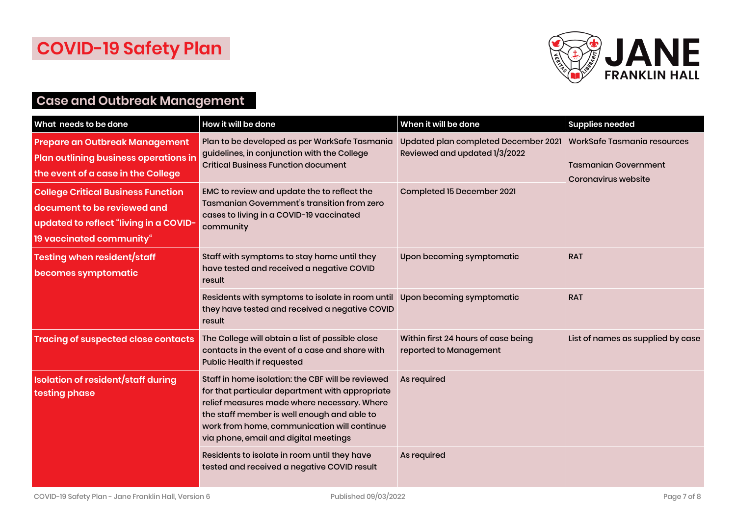

#### **Case and Outbreak Management**

| What needs to be done                                                                                                                          | How it will be done                                                                                                                                                                                                                                                                        | When it will be done                                                  | <b>Supplies needed</b>                                                                   |
|------------------------------------------------------------------------------------------------------------------------------------------------|--------------------------------------------------------------------------------------------------------------------------------------------------------------------------------------------------------------------------------------------------------------------------------------------|-----------------------------------------------------------------------|------------------------------------------------------------------------------------------|
| <b>Prepare an Outbreak Management</b><br><b>Plan outlining business operations in</b><br>the event of a case in the College                    | Plan to be developed as per WorkSafe Tasmania<br>guidelines, in conjunction with the College<br><b>Critical Business Function document</b>                                                                                                                                                 | Updated plan completed December 2021<br>Reviewed and updated 1/3/2022 | <b>WorkSafe Tasmania resources</b><br><b>Tasmanian Government</b><br>Coronavirus website |
| <b>College Critical Business Function</b><br>document to be reviewed and<br>updated to reflect "living in a COVID-<br>19 vaccinated community" | EMC to review and update the to reflect the<br>Tasmanian Government's transition from zero<br>cases to living in a COVID-19 vaccinated<br>community                                                                                                                                        | Completed 15 December 2021                                            |                                                                                          |
| Testing when resident/staff<br>becomes symptomatic                                                                                             | Staff with symptoms to stay home until they<br>have tested and received a negative COVID<br>result                                                                                                                                                                                         | Upon becoming symptomatic                                             | <b>RAT</b>                                                                               |
|                                                                                                                                                | Residents with symptoms to isolate in room until<br>they have tested and received a negative COVID<br>result                                                                                                                                                                               | Upon becoming symptomatic                                             | <b>RAT</b>                                                                               |
| <b>Tracing of suspected close contacts</b>                                                                                                     | The College will obtain a list of possible close<br>contacts in the event of a case and share with<br>Public Health if requested                                                                                                                                                           | Within first 24 hours of case being<br>reported to Management         | List of names as supplied by case                                                        |
| <b>Isolation of resident/staff during</b><br>testing phase                                                                                     | Staff in home isolation: the CBF will be reviewed<br>for that particular department with appropriate<br>relief measures made where necessary. Where<br>the staff member is well enough and able to<br>work from home, communication will continue<br>via phone, email and digital meetings | As required                                                           |                                                                                          |
|                                                                                                                                                | Residents to isolate in room until they have<br>tested and received a negative COVID result                                                                                                                                                                                                | As required                                                           |                                                                                          |